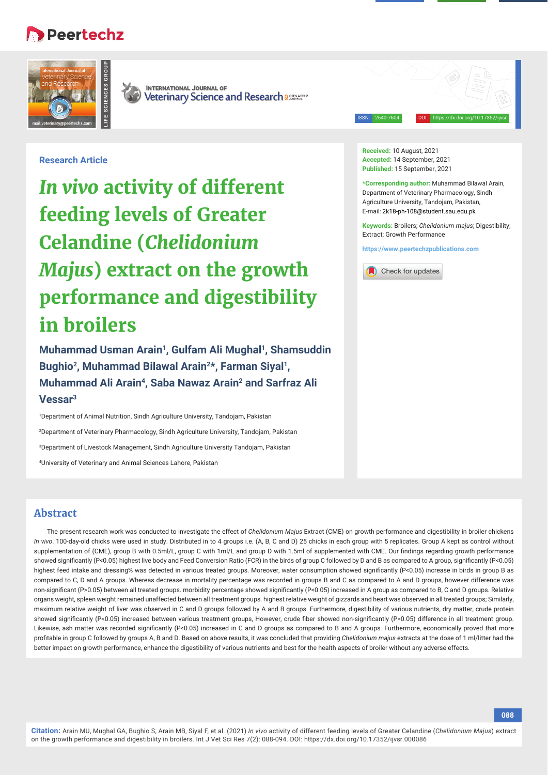# **Peertechz**



**INTERNATIONAL JOURNAL OF** Veterinary Science and Research a SREAGGES

ISSN: 2640-7604 DOI: https://dx.doi.org/10.17352/ijvsr

# **Research Article**

*In vivo* **activity of different feeding levels of Greater Celandine (***Chelidonium Majus***) extract on the growth performance and digestibility in broilers**

**Muhammad Usman Arain1, Gulfam Ali Mughal1, Shamsuddin**  Bughio<sup>2</sup>, Muhammad Bilawal Arain<sup>2\*</sup>, Farman Siyal<sup>1</sup>, **Muhammad Ali Arain4, Saba Nawaz Arain2 and Sarfraz Ali Vessar3**

 Department of Animal Nutrition, Sindh Agriculture University, Tandojam, Pakistan Department of Veterinary Pharmacology, Sindh Agriculture University, Tandojam, Pakistan Department of Livestock Management, Sindh Agriculture University Tandojam, Pakistan University of Veterinary and Animal Sciences Lahore, Pakistan

**Received:** 10 August, 2021 **Accepted:** 14 September, 2021 **Published:** 15 September, 2021

**\*Corresponding author:** Muhammad Bilawal Arain, Department of Veterinary Pharmacology, Sindh Agriculture University, Tandojam, Pakistan, E-mail: 2k18-ph-108@student.sau.edu.pk

**Keywords:** Broilers; *Chelidonium majus*; Digestibility; Extract; Growth Performance

**https://www.peertechzpublications.com**



# **Abstract**

The present research work was conducted to investigate the effect of *Chelidonium Majus* Extract (CME) on growth performance and digestibility in broiler chickens *In vivo*. 100-day-old chicks were used in study. Distributed in to 4 groups i.e. (A, B, C and D) 25 chicks in each group with 5 replicates. Group A kept as control without supplementation of (CME), group B with 0.5ml/L, group C with 1ml/L and group D with 1.5ml of supplemented with CME. Our findings regarding growth performance showed significantly (P<0.05) highest live body and Feed Conversion Ratio (FCR) in the birds of group C followed by D and B as compared to A group, significantly (P<0.05) highest feed intake and dressing% was detected in various treated groups. Moreover, water consumption showed significantly (P<0.05) increase in birds in group B as compared to C, D and A groups. Whereas decrease in mortality percentage was recorded in groups B and C as compared to A and D groups, however difference was non-significant (P>0.05) between all treated groups. morbidity percentage showed significantly (P<0.05) increased in A group as compared to B, C and D groups. Relative organs weight, spleen weight remained unaffected between all treatment groups. highest relative weight of gizzards and heart was observed in all treated groups; Similarly, maximum relative weight of liver was observed in C and D groups followed by A and B groups. Furthermore, digestibility of various nutrients, dry matter, crude protein showed significantly (P<0.05) increased between various treatment groups, However, crude fiber showed non-significantly (P>0.05) difference in all treatment group. Likewise, ash matter was recorded significantly (P<0.05) increased in C and D groups as compared to B and A groups. Furthermore, economically proved that more profitable in group C followed by groups A, B and D. Based on above results, it was concluded that providing *Chelidonium majus* extracts at the dose of 1 ml/litter had the better impact on growth performance, enhance the digestibility of various nutrients and best for the health aspects of broiler without any adverse effects.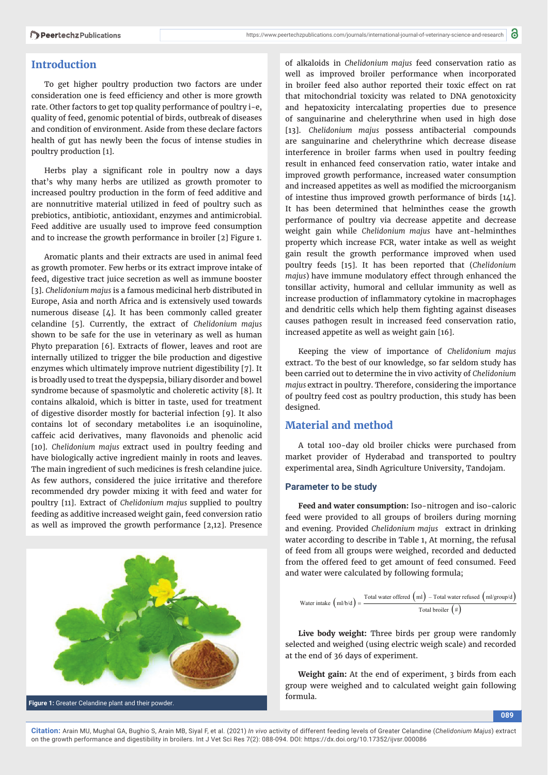# **Introduction**

To get higher poultry production two factors are under consideration one is feed efficiency and other is more growth rate. Other factors to get top quality performance of poultry i-e, quality of feed, genomic potential of birds, outbreak of diseases and condition of environment. Aside from these declare factors health of gut has newly been the focus of intense studies in poultry production [1].

Herbs play a significant role in poultry now a days that's why many herbs are utilized as growth promoter to increased poultry production in the form of feed additive and are nonnutritive material utilized in feed of poultry such as prebiotics, antibiotic, antioxidant, enzymes and antimicrobial. Feed additive are usually used to improve feed consumption and to increase the growth performance in broiler [2] Figure 1.

Aromatic plants and their extracts are used in animal feed as growth promoter. Few herbs or its extract improve intake of feed, digestive tract juice secretion as well as immune booster [3]. *Chelidonium majus* is a famous medicinal herb distributed in Europe, Asia and north Africa and is extensively used towards numerous disease [4]. It has been commonly called greater celandine [5]. Currently, the extract of *Chelidonium majus*  shown to be safe for the use in veterinary as well as human Phyto preparation [6]. Extracts of flower, leaves and root are internally utilized to trigger the bile production and digestive enzymes which ultimately improve nutrient digestibility [7]. It is broadly used to treat the dyspepsia, biliary disorder and bowel syndrome because of spasmolytic and choleretic activity [8]. It contains alkaloid, which is bitter in taste, used for treatment of digestive disorder mostly for bacterial infection [9]. It also contains lot of secondary metabolites i.e an isoquinoline, caffeic acid derivatives, many flavonoids and phenolic acid [10]. *Chelidonium majus* extract used in poultry feeding and have biologically active ingredient mainly in roots and leaves. The main ingredient of such medicines is fresh celandine juice. As few authors, considered the juice irritative and therefore recommended dry powder mixing it with feed and water for poultry [11]. Extract of *Chelidonium majus* supplied to poultry feeding as additive increased weight gain, feed conversion ratio as well as improved the growth performance [2,12]. Presence



of alkaloids in *Chelidonium majus* feed conservation ratio as well as improved broiler performance when incorporated in broiler feed also author reported their toxic effect on rat that mitochondrial toxicity was related to DNA genotoxicity and hepatoxicity intercalating properties due to presence of sanguinarine and chelerythrine when used in high dose [13]. *Chelidonium majus* possess antibacterial compounds are sanguinarine and chelerythrine which decrease disease interference in broiler farms when used in poultry feeding result in enhanced feed conservation ratio, water intake and improved growth performance, increased water consumption and increased appetites as well as modified the microorganism of intestine thus improved growth performance of birds [14]. It has been determined that helminthes cease the growth performance of poultry via decrease appetite and decrease weight gain while *Chelidonium majus* have ant-helminthes property which increase FCR, water intake as well as weight gain result the growth performance improved when used poultry feeds [15]. It has been reported that (*Chelidonium majus*) have immune modulatory effect through enhanced the tonsillar activity, humoral and cellular immunity as well as increase production of inflammatory cytokine in macrophages and dendritic cells which help them fighting against diseases causes pathogen result in increased feed conservation ratio, increased appetite as well as weight gain [16].

Keeping the view of importance of *Chelidonium majus* extract. To the best of our knowledge, so far seldom study has been carried out to determine the in vivo activity of *Chelidonium majus* extract in poultry. Therefore, considering the importance of poultry feed cost as poultry production, this study has been designed.

# **Material and method**

A total 100-day old broiler chicks were purchased from market provider of Hyderabad and transported to poultry experimental area, Sindh Agriculture University, Tandojam.

#### **Parameter to be study**

**Feed and water consumption:** Iso-nitrogen and iso-caloric feed were provided to all groups of broilers during morning and evening. Provided *Chelidonium majus* extract in drinking water according to describe in Table 1, At morning, the refusal of feed from all groups were weighed, recorded and deducted from the offered feed to get amount of feed consumed. Feed and water were calculated by following formula;

Water intake 
$$
(ml/b/d) = \frac{\text{Total water offered (ml)} - \text{Total water refused (ml/group/d)}}{\text{Total broiler (#)}}
$$

**Live body weight:** Three birds per group were randomly selected and weighed (using electric weigh scale) and recorded at the end of 36 days of experiment.

**Weight gain:** At the end of experiment, 3 birds from each group were weighed and to calculated weight gain following formula.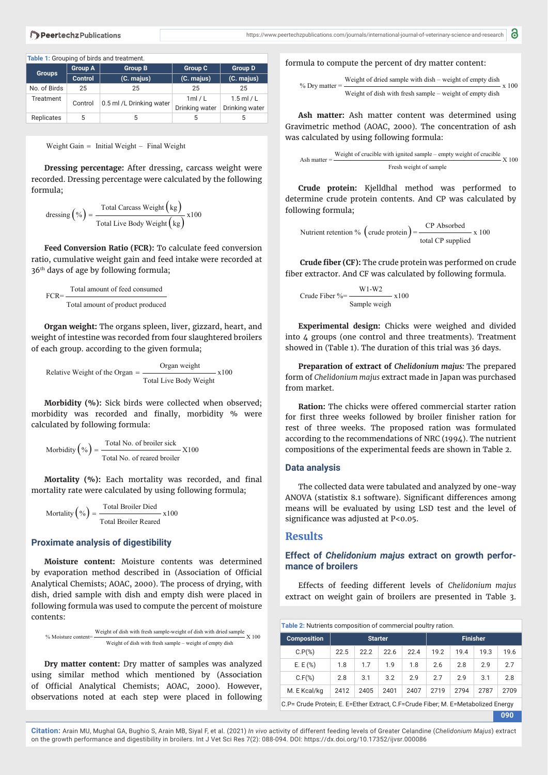|  |               |                | Table 1: Grouping of birds and treatment. |                         |                                  |
|--|---------------|----------------|-------------------------------------------|-------------------------|----------------------------------|
|  |               | <b>Group A</b> | <b>Group B</b>                            | <b>Group C</b>          | <b>Group D</b>                   |
|  | <b>Groups</b> | Control        | (C. majus)                                | (C. majus)              | (C. majus)                       |
|  | No. of Birds  | 25             | 25                                        | 25                      | 25                               |
|  | Treatment     | Control        | 0.5 ml /L Drinking water                  | 1ml/L<br>Drinking water | $1.5$ ml $/ L$<br>Drinking water |
|  | Replicates    |                |                                           |                         | 5                                |

Weight Gain  $=$  Initial Weight – Final Weight

**Dressing percentage:** After dressing, carcass weight were recorded. Dressing percentage were calculated by the following formula;

$$
dressing (\% ) = \frac{Total Carcass Weight (kg)}{Total Live Body Weight (kg)} \times 100
$$

**Feed Conversion Ratio (FCR):** To calculate feed conversion ratio, cumulative weight gain and feed intake were recorded at 36th days of age by following formula;

Total amount of feed consumed FCR= Total amount of product produced

**Organ weight:** The organs spleen, liver, gizzard, heart, and weight of intestine was recorded from four slaughtered broilers of each group. according to the given formula;

Relative Weight of the Organ = 
$$
\frac{Organ weight}{Total Live Body Weight}
$$
x100

**Morbidity (%):** Sick birds were collected when observed; morbidity was recorded and finally, morbidity % were calculated by following formula:

$$
Morbidity\left(\frac{\%}{\%}\right) = \frac{\text{Total No. of broiler sick}}{\text{Total No. of reared broiler}} \times 100
$$

**Mortality (%):** Each mortality was recorded, and final mortality rate were calculated by using following formula;

Mortality 
$$
(\%) = \frac{\text{Total Broiler Died}}{\text{Total Broiler Reared}} \times 100
$$

#### **Proximate analysis of digestibility**

**Moisture content:** Moisture contents was determined by evaporation method described in (Association of Official Analytical Chemists; AOAC, 2000). The process of drying, with dish, dried sample with dish and empty dish were placed in following formula was used to compute the percent of moisture contents:

$$
\%
$$
 Moisture content=  
 $\frac{\text{Weight of dish with fresh sample-weight of dish with dried sample}}{\text{Weight of dish with fresh sample} - \text{weight of empty dish}} \times 100$ 

**Dry matter content:** Dry matter of samples was analyzed using similar method which mentioned by (Association of Official Analytical Chemists; AOAC, 2000). However, observations noted at each step were placed in following

formula to compute the percent of dry matter content:

$$
\% \text{ Dry matter} = \frac{\text{Weight of dried sample with dish} - \text{weight of empty dish}}{\text{Weight of dish with fresh sample} - \text{weight of empty dish}} \times 100
$$

**Ash matter:** Ash matter content was determined using Gravimetric method (AOAC, 2000). The concentration of ash was calculated by using following formula:

Ash matter = 
$$
\frac{\text{Weight of crucible with imitted sample} - \text{empty weight of crucible}}{\text{Fresh weight of sample}} \times 100
$$

**Crude protein:** Kjelldhal method was performed to determine crude protein contents. And CP was calculated by following formula;

$$
Nutrient retention % (crude protein) = \frac{CP Absorbed}{total CP supplied} x 100
$$

**Crude fiber (CF):** The crude protein was performed on crude fiber extractor. And CF was calculated by following formula.

Crude Fiber % = 
$$
\frac{W1-W2}{Sample weight} \times 100
$$

**Experimental design:** Chicks were weighed and divided into 4 groups (one control and three treatments). Treatment showed in (Table 1). The duration of this trial was 36 days.

**Preparation of extract of** *Chelidonium majus:* The prepared form of *Chelidonium majus* extract made in Japan was purchased from market.

**Ration:** The chicks were offered commercial starter ration for first three weeks followed by broiler finisher ration for rest of three weeks. The proposed ration was formulated according to the recommendations of NRC (1994). The nutrient compositions of the experimental feeds are shown in Table 2.

#### **Data analysis**

The collected data were tabulated and analyzed by one-way ANOVA (statistix 8.1 software). Significant differences among means will be evaluated by using LSD test and the level of significance was adjusted at  $P < 0.05$ .

#### **Results**

### **Effect of** *Chelidonium majus* **extract on growth performance of broilers**

Effects of feeding different levels of *Chelidonium majus* extract on weight gain of broilers are presented in Table 3.

| Table 2: Nutrients composition of commercial poultry ration.                     |      |      |                |      |      |      |                 |      |
|----------------------------------------------------------------------------------|------|------|----------------|------|------|------|-----------------|------|
| <b>Composition</b>                                                               |      |      | <b>Starter</b> |      |      |      | <b>Finisher</b> |      |
| $C.P(\%)$                                                                        | 22.5 | 22.2 | 22.6           | 22.4 | 19.2 | 19.4 | 19.3            | 19.6 |
| E.E(%)                                                                           | 1.8  | 1.7  | 1.9            | 1.8  | 2.6  | 2.8  | 2.9             | 2.7  |
| $C.F(\%)$                                                                        | 2.8  | 3.1  | 3.2            | 29   | 27   | 29   | 3.1             | 2.8  |
| M. E Kcal/kg                                                                     | 2412 | 2405 | 2401           | 2407 | 2719 | 2794 | 2787            | 2709 |
| C.P= Crude Protein; E. E=Ether Extract, C.F=Crude Fiber; M. E=Metabolized Energy |      |      |                |      |      |      |                 |      |

**090**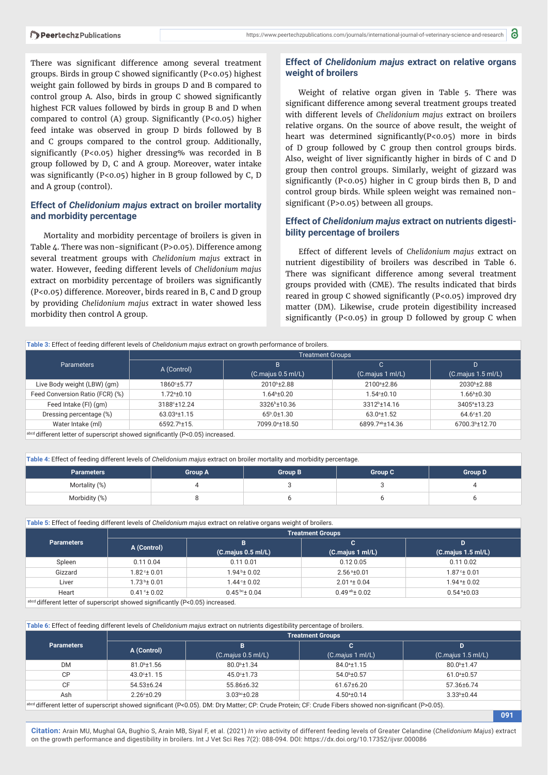There was significant difference among several treatment groups. Birds in group C showed significantly  $(P<0.05)$  highest weight gain followed by birds in groups D and B compared to control group A. Also, birds in group C showed significantly highest FCR values followed by birds in group B and D when compared to control (A) group. Significantly (P<0.05) higher feed intake was observed in group D birds followed by B and C groups compared to the control group. Additionally, significantly (P<0.05) higher dressing% was recorded in B group followed by D, C and A group. Moreover, water intake was significantly (P<0.05) higher in B group followed by C, D and A group (control).

## **Effect of** *Chelidonium majus* **extract on broiler mortality and morbidity percentage**

Mortality and morbidity percentage of broilers is given in Table 4. There was non-significant (P>0.05). Difference among several treatment groups with *Chelidonium majus* extract in water. However, feeding different levels of *Chelidonium majus* extract on morbidity percentage of broilers was significantly (P<0.05) difference. Moreover, birds reared in B, C and D group by providing *Chelidonium majus* extract in water showed less morbidity then control A group.

#### **Effect of** *Chelidonium majus* **extract on relative organs weight of broilers**

Weight of relative organ given in Table 5. There was significant difference among several treatment groups treated with different levels of *Chelidonium majus* extract on broilers relative organs. On the source of above result, the weight of heart was determined significantly( $P < 0.05$ ) more in birds of D group followed by C group then control groups birds. Also, weight of liver significantly higher in birds of C and D group then control groups. Similarly, weight of gizzard was significantly ( $P < 0.05$ ) higher in C group birds then B, D and control group birds. While spleen weight was remained nonsignificant ( $P>0.05$ ) between all groups.

### **Effect of** *Chelidonium majus* **extract on nutrients digestibility percentage of broilers**

Effect of different levels of *Chelidonium majus* extract on nutrient digestibility of broilers was described in Table 6. There was significant difference among several treatment groups provided with (CME). The results indicated that birds reared in group C showed significantly  $(P<0.05)$  improved dry matter (DM). Likewise, crude protein digestibility increased significantly ( $P < 0.05$ ) in group D followed by group C when

**Table 3:** Effect of feeding different levels of *Chelidonium majus* extract on growth performance of broilers.

|                                 | <b>Treatment Groups</b>                                                                       |                            |                                 |                                 |  |  |  |  |
|---------------------------------|-----------------------------------------------------------------------------------------------|----------------------------|---------------------------------|---------------------------------|--|--|--|--|
| <b>Parameters</b>               | A (Control)                                                                                   | B<br>(C.maius 0.5 ml/L)    | C.<br>(C.maius 1 ml/L)          | D<br>(C.maius 1.5 ml/L)         |  |  |  |  |
| Live Body weight (LBW) (gm)     | 1860 <sup>c</sup> ±5.77                                                                       | 2010 <sup>b</sup> ±2.88    | 2100 <sup>a</sup> ±2.86         | 2030 <sup>b</sup> ±2.88         |  |  |  |  |
| Feed Conversion Ratio (FCR) (%) | 1.72ª±0.10                                                                                    | 1.64 <sup>b</sup> ±0.20    | $1.54^{\circ}$ ± $0.10^{\circ}$ | $1.66^{\rm b}$ ± $0.30^{\circ}$ |  |  |  |  |
| Feed Intake (FI) (gm)           | 3188°±12.24                                                                                   | 3326 <sup>b</sup> ±10.36   | 3312 <sup>b</sup> ±14.16        | 3405 <sup>a</sup> ±13.23        |  |  |  |  |
| Dressing percentage (%)         | $63.03^{\circ}$ ±1.15                                                                         | $65^{\rm b}.0\pm1.30$      | $63.0^{\circ}$ ±1.52            | $64.6^{\circ}$ ±1.20            |  |  |  |  |
| Water Intake (ml)               | $6592.7b$ ±15.                                                                                | 7099.0 <sup>a</sup> ±18.50 | 6899.7ab±14.36                  | 6700.3 <sup>b</sup> ±12.70      |  |  |  |  |
|                                 | $\lambda$ and different letter of ouncreasint abound oignificantly $(D_2 \cap D_5)$ increased |                            |                                 |                                 |  |  |  |  |

 $^{\prime}$ different letter of superscript showed significantly (P<0.05) increased.

**Table 4:** Effect of feeding different levels of *Chelidonium majus* extract on broiler mortality and morbidity percentage.

| <b>Parameters</b> | Group A | Group B | Group C | <b>Group D</b> |
|-------------------|---------|---------|---------|----------------|
| Mortality (%)     |         |         |         |                |
| Morbidity (%)     |         |         |         |                |

**Table 5:** Effect of feeding different levels of *Chelidonium majus* extract on relative organs weight of broilers.

|                                                                                                        | <b>Treatment Groups</b> |                    |                    |                            |  |  |
|--------------------------------------------------------------------------------------------------------|-------------------------|--------------------|--------------------|----------------------------|--|--|
| <b>Parameters</b>                                                                                      |                         | в                  | c                  | D                          |  |  |
|                                                                                                        | A (Control)             | (C.maius 0.5 ml/L) | (C.maius 1 ml/L)   | (C.maius 1.5 ml/L)         |  |  |
| Spleen                                                                                                 | 0.11 0.04               | 0.110.01           | $0.12\ 0.05$       | 0.11 0.02                  |  |  |
| Gizzard                                                                                                | 1.82 °± 0.01            | $1.94b \pm 0.02$   | $2.56a \pm 0.01$   | $1.87 \div 0.01$           |  |  |
| Liver                                                                                                  | 1.73 b± 0.01            | $1.44 \pm 0.02$    | $2.01a \pm 0.04$   | $1.94$ <sup>a</sup> ± 0.02 |  |  |
| Heart                                                                                                  | $0.41^{\circ}$ ± 0.02   | $0.45^{bc}$ ± 0.04 | $0.49^{ab}$ ± 0.02 | $0.54^{\degree}$ ±0.03     |  |  |
| $\frac{abcd}{d}$ different letter of cuperceript chaused cignificantly ( $D \lt 0$ , $0.5$ ) increased |                         |                    |                    |                            |  |  |

abcd different letter of superscript showed significantly (P<0.05) increased.

**Table 6:** Effect of feeding different levels of *Chelidonium majus* extract on nutrients digestibility percentage of broilers.

|                                                                                                                                                             | <b>Treatment Groups</b> |                         |                         |                         |  |  |
|-------------------------------------------------------------------------------------------------------------------------------------------------------------|-------------------------|-------------------------|-------------------------|-------------------------|--|--|
| <b>Parameters</b>                                                                                                                                           | A (Control)             | в                       |                         | D                       |  |  |
|                                                                                                                                                             |                         | (C.maius 0.5 ml/L)      | (C.maius 1 ml/L)        | (C.maius 1.5 ml/L)      |  |  |
| DM                                                                                                                                                          | $81.0^{\rm b}$ ±1.56    | 80.0 <sup>b</sup> ±1.34 | $84.0^{\circ}$ ±1.15    | 80.0 <sup>b</sup> ±1.47 |  |  |
| CP                                                                                                                                                          | $43.0° \pm 1.15$        | 45.0 <sup>c</sup> ±1.73 | 54.0 <sup>b</sup> ±0.57 | $61.0^{\circ}$ ±0.57    |  |  |
| CF                                                                                                                                                          | 54.53±6.24              | 55.86±6.32              | $61.67 \pm 6.20$        | 57.36±6.74              |  |  |
| Ash                                                                                                                                                         | $2.26^{\circ}$ ±0.29    | $3.03bc + 0.28$         | $4.50a + 0.14$          | $3.33b \pm 0.44$        |  |  |
| $\sim$ abod different letter of superscript showed significant (P<0.05) DM; Dry Matter: CP; Crude Protein; CF; Crude Eibers showed non-significant (P>0.05) |                         |                         |                         |                         |  |  |

<sup>abcd</sup> different letter of superscript showed significant (P<0.05). DM: Dry Matter; CP: Crude Protein; CF: Crude Fibers showed non-significant (P>0.05).

**091**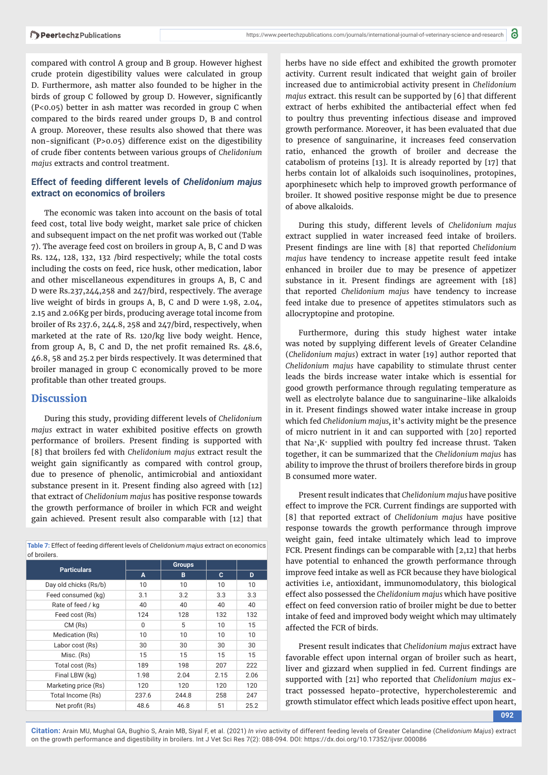compared with control A group and B group. However highest crude protein digestibility values were calculated in group D. Furthermore, ash matter also founded to be higher in the birds of group C followed by group D. However, significantly (P<0.05) better in ash matter was recorded in group C when compared to the birds reared under groups D, B and control A group. Moreover, these results also showed that there was non-significant (P>0.05) difference exist on the digestibility of crude fiber contents between various groups of *Chelidonium majus* extracts and control treatment.

# **Effect of feeding different levels of** *Chelidonium majus* **extract on economics of broilers**

The economic was taken into account on the basis of total feed cost, total live body weight, market sale price of chicken and subsequent impact on the net profit was worked out (Table 7). The average feed cost on broilers in group A, B, C and D was Rs. 124, 128, 132, 132 /bird respectively; while the total costs including the costs on feed, rice husk, other medication, labor and other miscellaneous expenditures in groups A, B, C and D were Rs.237,244,258 and 247/bird, respectively. The average live weight of birds in groups A, B, C and D were 1.98, 2.04, 2.15 and 2.06Kg per birds, producing average total income from broiler of Rs 237.6, 244.8, 258 and 247/bird, respectively, when marketed at the rate of Rs. 120/kg live body weight. Hence, from group A, B, C and D, the net profit remained Rs.  $48.6$ , 46.8, 58 and 25.2 per birds respectively. It was determined that broiler managed in group C economically proved to be more profitable than other treated groups.

# **Discussion**

During this study, providing different levels of *Chelidonium majus* extract in water exhibited positive effects on growth performance of broilers. Present finding is supported with [8] that broilers fed with *Chelidonium majus* extract result the weight gain significantly as compared with control group, due to presence of phenolic, antimicrobial and antioxidant substance present in it. Present finding also agreed with [12] that extract of *Chelidonium majus* has positive response towards the growth performance of broiler in which FCR and weight gain achieved. Present result also comparable with [12] that

| Table 7: Effect of feeding different levels of Chelidonium majus extract on economics |
|---------------------------------------------------------------------------------------|
| of broilers.                                                                          |

| <b>Particulars</b>    |          | <b>Groups</b> |      |      |
|-----------------------|----------|---------------|------|------|
|                       | A        | в             | c    | D    |
| Day old chicks (Rs/b) | 10       | 10            | 10   | 10   |
| Feed consumed (kg)    | 3.1      | 3.2           | 3.3  | 3.3  |
| Rate of feed / kg     | 40       | 40            | 40   | 40   |
| Feed cost (Rs)        | 124      | 128           | 132  | 132  |
| CM (Rs)               | $\Omega$ | 5             | 10   | 15   |
| Medication (Rs)       | 10       | 10            | 10   | 10   |
| Labor cost (Rs)       | 30       | 30            | 30   | 30   |
| Misc. (Rs)            | 15       | 15            | 15   | 15   |
| Total cost (Rs)       | 189      | 198           | 207  | 222  |
| Final LBW (kg)        | 1.98     | 2.04          | 2.15 | 2.06 |
| Marketing price (Rs)  | 120      | 120           | 120  | 120  |
| Total Income (Rs)     | 237.6    | 244.8         | 258  | 247  |
| Net profit (Rs)       | 48.6     | 46.8          | 51   | 25.2 |

herbs have no side effect and exhibited the growth promoter activity. Current result indicated that weight gain of broiler increased due to antimicrobial activity present in *Chelidonium majus* extract. this result can be supported by [6] that different extract of herbs exhibited the antibacterial effect when fed to poultry thus preventing infectious disease and improved growth performance. Moreover, it has been evaluated that due to presence of sanguinarine, it increases feed conservation ratio, enhanced the growth of broiler and decrease the catabolism of proteins [13]. It is already reported by [17] that herbs contain lot of alkaloids such isoquinolines, protopines, aporphinesetc which help to improved growth performance of broiler. It showed positive response might be due to presence of above alkaloids.

During this study, different levels of *Chelidonium majus* extract supplied in water increased feed intake of broilers. Present findings are line with [8] that reported *Chelidonium majus* have tendency to increase appetite result feed intake enhanced in broiler due to may be presence of appetizer substance in it. Present findings are agreement with [18] that reported *Chelidonium majus* have tendency to increase feed intake due to presence of appetites stimulators such as allocryptopine and protopine.

Furthermore, during this study highest water intake was noted by supplying different levels of Greater Celandine (*Chelidonium majus*) extract in water [19] author reported that *Chelidonium majus* have capability to stimulate thrust center leads the birds increase water intake which is essential for good growth performance through regulating temperature as well as electrolyte balance due to sanguinarine-like alkaloids in it. Present findings showed water intake increase in group which fed *Chelidonium majus,* it's activity might be the presence of micro nutrient in it and can supported with [20] reported that Na+,K+ supplied with poultry fed increase thrust. Taken together, it can be summarized that the *Chelidonium majus* has ability to improve the thrust of broilers therefore birds in group B consumed more water.

Present result indicates that *Chelidonium majus* have positive effect to improve the FCR. Current findings are supported with [8] that reported extract of *Chelidonium majus* have positive response towards the growth performance through improve weight gain, feed intake ultimately which lead to improve FCR. Present findings can be comparable with [2,12] that herbs have potential to enhanced the growth performance through improve feed intake as well as FCR because they have biological activities i.e, antioxidant, immunomodulatory, this biological effect also possessed the *Chelidonium majus* which have positive effect on feed conversion ratio of broiler might be due to better intake of feed and improved body weight which may ultimately affected the FCR of birds.

Present result indicates that *Chelidonium majus* extract have favorable effect upon internal organ of broiler such as heart, liver and gizzard when supplied in fed. Current findings are supported with [21] who reported that *Chelidonium majus* extract possessed hepato-protective, hypercholesteremic and growth stimulator effect which leads positive effect upon heart,

**092**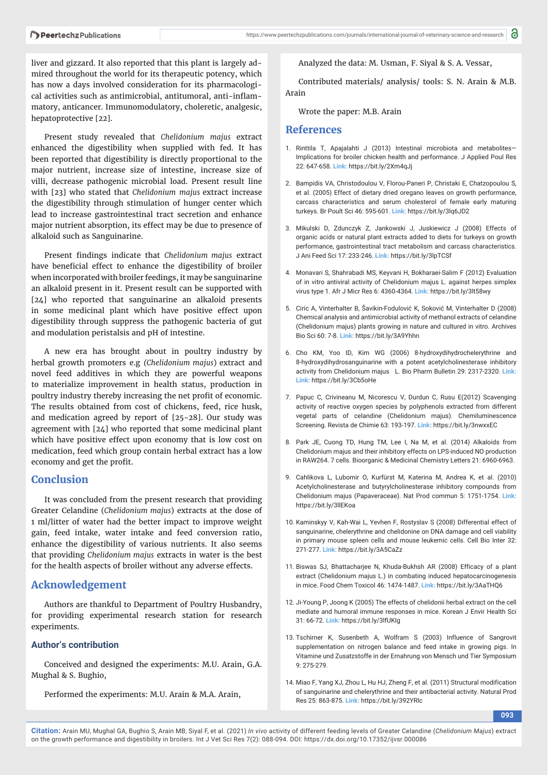liver and gizzard. It also reported that this plant is largely admired throughout the world for its therapeutic potency, which has now a days involved consideration for its pharmacological activities such as antimicrobial, antitumoral, anti-inflammatory, anticancer. Immunomodulatory, choleretic, analgesic, hepatoprotective [22].

Present study revealed that *Chelidonium majus* extract enhanced the digestibility when supplied with fed. It has been reported that digestibility is directly proportional to the major nutrient, increase size of intestine, increase size of villi, decrease pathogenic microbial load. Present result line with [23] who stated that *Chelidonium majus* extract increase the digestibility through stimulation of hunger center which lead to increase gastrointestinal tract secretion and enhance major nutrient absorption, its effect may be due to presence of alkaloid such as Sanguinarine.

Present findings indicate that *Chelidonium majus* extract have beneficial effect to enhance the digestibility of broiler when incorporated with broiler feedings, it may be sanguinarine an alkaloid present in it. Present result can be supported with [24] who reported that sanguinarine an alkaloid presents in some medicinal plant which have positive effect upon digestibility through suppress the pathogenic bacteria of gut and modulation peristalsis and pH of intestine.

A new era has brought about in poultry industry by herbal growth promoters e.g *(Chelidonium majus*) extract and novel feed additives in which they are powerful weapons to materialize improvement in health status, production in poultry industry thereby increasing the net profit of economic. The results obtained from cost of chickens, feed, rice husk, and medication agreed by report of [25-28]. Our study was agreement with [24] who reported that some medicinal plant which have positive effect upon economy that is low cost on medication, feed which group contain herbal extract has a low economy and get the profit.

## **Conclusion**

It was concluded from the present research that providing Greater Celandine (*Chelidonium majus*) extracts at the dose of 1 ml/litter of water had the better impact to improve weight gain, feed intake, water intake and feed conversion ratio, enhance the digestibility of various nutrients. It also seems that providing *Chelidonium majus* extracts in water is the best for the health aspects of broiler without any adverse effects.

# **Acknowledgement**

Authors are thankful to Department of Poultry Husbandry, for providing experimental research station for research experiments.

## **Author's contribution**

Conceived and designed the experiments: M.U. Arain, G.A. Mughal & S. Bughio,

Performed the experiments: M.U. Arain & M.A. Arain,

Analyzed the data: M. Usman, F. Siyal & S. A. Vessar,

Contributed materials/ analysis/ tools: S. N. Arain & M.B. Arain

Wrote the paper: M.B. Arain

#### **References**

- 1. Rinttila T, Apajalahti J (2013) Intestinal microbiota and metabolites-Implications for broiler chicken health and performance. J Applied Poul Res 22: 647-658. **Link:** https://bit.ly/2Xm4qJj
- 2. Bampidis VA, Christodoulou V, Florou-Paneri P, Christaki E, Chatzopoulou S, et al. (2005) Effect of dietary dried oregano leaves on growth performance, carcass characteristics and serum cholesterol of female early maturing turkeys. Br Poult Sci 46: 595-601. **Link:** https://bit.ly/3lq6JD2
- 3. Mikulski D, Zdunczyk Z, Jankowski J, Juskiewicz J (2008) Effects of organic acids or natural plant extracts added to diets for turkeys on growth performance, gastrointestinal tract metabolism and carcass characteristics. J Ani Feed Sci 17: 233-246. **Link:** https://bit.ly/3lpTCSf
- 4. Monavari S, Shahrabadi MS, Keyvani H, Bokharaei-Salim F (2012) Evaluation of in vitro antiviral activity of Chelidonium majus L. against herpes simplex virus type 1. Afr J Micr Res 6: 4360-4364. **Link:** https://bit.ly/3lt58wy
- 5. Ciric A, Vinterhalter B, Šavikin-Fodulović K, Soković M, Vinterhalter D (2008) Chemical analysis and antimicrobial activity of methanol extracts of celandine (Chelidonium majus) plants growing in nature and cultured in vitro. Archives Bio Sci 60: 7-8. **Link:** https://bit.ly/3A9Yhhn
- 6. Cho KM, Yoo ID, Kim WG (2006) 8-hydroxydihydrochelerythrine and 8-hydroxydihydrosanguinarine with a potent acetylcholinesterase inhibitory activity from Chelidonium majus L. Bio Pharm Bulletin 29: 2317-2320. **Link: Link:** https://bit.ly/3Cb5oHe
- 7. Papuc C, Crivineanu M, Nicorescu V, Durdun C, Rusu E(2012) Scavenging activity of reactive oxygen species by polyphenols extracted from different vegetal parts of celandine (Chelidonium majus). Chemiluminescence Screening. Revista de Chimie 63: 193-197. **Link:** https://bit.ly/3nwxxEC
- 8. Park JE, Cuong TD, Hung TM, Lee I, Na M, et al. (2014) Alkaloids from Chelidonium majus and their inhibitory effects on LPS-induced NO production in RAW264. 7 cells. Bioorganic & Medicinal Chemistry Letters 21: 6960-6963.
- 9. Cahlikova L, Lubomir O, Kurfürst M, Katerina M, Andrea K, et al. (2010) Acetylcholinesterase and butyrylcholinesterase inhibitory compounds from Chelidonium majus (Papaveraceae). Nat Prod commun 5: 1751-1754. **Link:** https://bit.ly/3llEKoa
- 10. Kaminskyy V, Kah-Wai L, Yevhen F, Rostyslav S (2008) Differential effect of sanguinarine, chelerythrine and chelidonine on DNA damage and cell viability in primary mouse spleen cells and mouse leukemic cells. Cell Bio Inter 32: 271-277. **Link:** https://bit.ly/3A5CaZz
- 11. Biswas SJ, Bhattacharjee N, Khuda-Bukhsh AR (2008) Efficacy of a plant extract (Chelidonium majus L.) in combating induced hepatocarcinogenesis in mice. Food Chem Toxicol 46: 1474-1487. **Link:** https://bit.ly/3AaTHQ6
- 12. Ji-Young P, Joong K (2005) The effects of chelidonii herbal extract on the cell mediate and humoral immune responses in mice. Korean J Envir Health Sci 31: 66-72. **Link:** https://bit.ly/3lfUKIg
- 13. Tschirner K, Susenbeth A, Wolfram S (2003) Influence of Sangrovit supplementation on nitrogen balance and feed intake in growing pigs. In Vitamine und Zusatzstoffe in der Ernahrung von Mensch und Tier Symposium 9: 275-279.
- 14. Miao F, Yang XJ, Zhou L, Hu HJ, Zheng F, et al. (2011) Structural modification of sanguinarine and chelerythrine and their antibacterial activity. Natural Prod Res 25: 863-875. **Link:** https://bit.ly/392YRlc

**093**